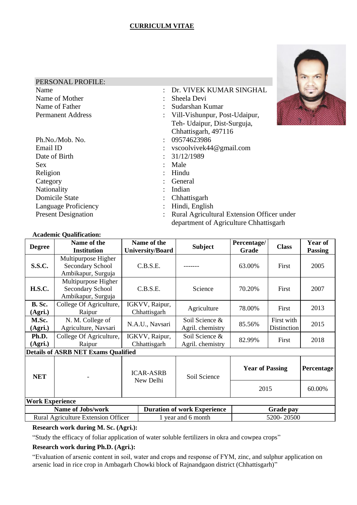# **CURRICULM VITAE**



| PERSONAL PROFILE:           |                                         |
|-----------------------------|-----------------------------------------|
| Name                        | Dr. VIVEK KUMAR SINGHAL                 |
| Name of Mother              | Sheela Devi                             |
| Name of Father              | Sudarshan Kumar                         |
| <b>Permanent Address</b>    | Vill-Vishunpur, Post-Udaipur,           |
|                             | Teh- Udaipur, Dist-Surguja,             |
|                             | Chhattisgarh, 497116                    |
| Ph.No./Mob. No.             | 09574623986<br>$\bullet$                |
| Email ID                    | vscoolvivek44@gmail.com                 |
| Date of Birth               | 31/12/1989                              |
| Sex                         | Male                                    |
| Religion                    | Hindu                                   |
| Category                    | General                                 |
| Nationality                 | Indian                                  |
| <b>Domicile State</b>       | Chhattisgarh                            |
| <b>Language Proficiency</b> | Hindi, English                          |
| <b>Present Designation</b>  | <b>Rural Agricultural Extension Off</b> |

: Rural Agricultural Extension Officer under department of Agriculture Chhattisgarh

| <b>Academic Qualification:</b>             |                                                                      |                               |                                        |                                    |                      |                           |                           |  |
|--------------------------------------------|----------------------------------------------------------------------|-------------------------------|----------------------------------------|------------------------------------|----------------------|---------------------------|---------------------------|--|
| <b>Degree</b>                              | Name of the<br><b>Institution</b>                                    |                               | Name of the<br><b>University/Board</b> | <b>Subject</b>                     | Percentage/<br>Grade | <b>Class</b>              | Year of<br><b>Passing</b> |  |
| <b>S.S.C.</b>                              | Multipurpose Higher<br>Secondary School<br>Ambikapur, Surguja        |                               | C.B.S.E.                               |                                    | 63.00%               | First                     | 2005                      |  |
| <b>H.S.C.</b>                              | Multipurpose Higher<br><b>Secondary School</b><br>Ambikapur, Surguja |                               | C.B.S.E.                               | Science                            | 70.20%               | First                     | 2007                      |  |
| <b>B.</b> Sc.<br>(Agri.)                   | College Of Agriculture,<br>Raipur                                    |                               | IGKVV, Raipur,<br>Chhattisgarh         | Agriculture                        | 78.00%               | First                     | 2013                      |  |
| M.Sc.<br>(Agri.)                           | N. M. College of<br>Agriculture, Navsari                             |                               | N.A.U., Navsari                        | Soil Science &<br>Agril. chemistry | 85.56%               | First with<br>Distinction | 2015                      |  |
| Ph.D.<br>(Agri.)                           | College Of Agriculture,<br>Raipur                                    |                               | IGKVV, Raipur,<br>Chhattisgarh         | Soil Science &<br>Agril. chemistry | 82.99%               | First                     | 2018                      |  |
| <b>Details of ASRB NET Exams Qualified</b> |                                                                      |                               |                                        |                                    |                      |                           |                           |  |
| <b>NET</b>                                 |                                                                      | <b>ICAR-ASRB</b><br>New Delhi | Soil Science                           | <b>Year of Passing</b>             |                      | <b>Percentage</b>         |                           |  |
|                                            |                                                                      |                               |                                        |                                    | 2015                 |                           | 60.00%                    |  |
|                                            | <b>Work Experience</b>                                               |                               |                                        |                                    |                      |                           |                           |  |
| <b>Name of Jobs/work</b>                   |                                                                      |                               | <b>Duration of work Experience</b>     |                                    | <b>Grade pay</b>     |                           |                           |  |
| Rural Agriculture Extension Officer        |                                                                      |                               | 1 year and 6 month                     |                                    | 5200-20500           |                           |                           |  |

# **Research work during M. Sc. (Agri.):**

"Study the efficacy of foliar application of water soluble fertilizers in okra and cowpea crops"

# **Research work during Ph.D. (Agri.):**

"Evaluation of arsenic content in soil, water and crops and response of FYM, zinc, and sulphur application on arsenic load in rice crop in Ambagarh Chowki block of Rajnandgaon district (Chhattisgarh)"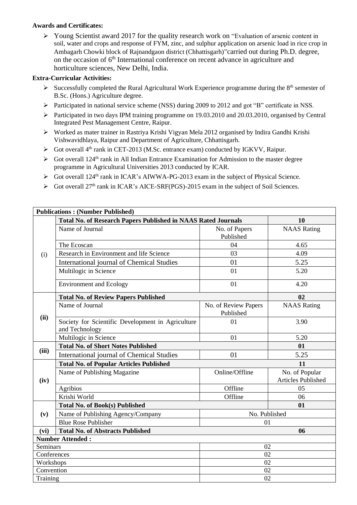# **Awards and Certificates:**

➢ Young Scientist award 2017 for the quality research work on "Evaluation of arsenic content in soil, water and crops and response of FYM, zinc, and sulphur application on arsenic load in rice crop in Ambagarh Chowki block of Rajnandgaon district (Chhattisgarh)"carried out during Ph.D. degree, on the occasion of 6<sup>th</sup> International conference on recent advance in agriculture and horticulture sciences, New Delhi, India.

# **Extra-Curricular Activities:**

- $\triangleright$  Successfully completed the Rural Agricultural Work Experience programme during the 8<sup>th</sup> semester of B.Sc. (Hons.) Agriculture degree.
- ➢ Participated in national service scheme (NSS) during 2009 to 2012 and got "B" certificate in NSS.
- ➢ Participated in two days IPM training programme on 19.03.2010 and 20.03.2010, organised by Central Integrated Pest Management Centre, Raipur.
- ➢ Worked as mater trainer in Rastriya Krishi Vigyan Mela 2012 organised by Indira Gandhi Krishi Vishwavidhlaya, Raipur and Department of Agriculture, Chhattisgarh.
- $\triangleright$  Got overall 4<sup>th</sup> rank in CET-2013 (M.Sc. entrance exam) conducted by IGKVV, Raipur.
- $\triangleright$  Got overall 124<sup>th</sup> rank in All Indian Entrance Examination for Admission to the master degree programme in Agricultural Universities 2013 conducted by ICAR.
- $\triangleright$  Got overall 124<sup>th</sup> rank in ICAR's AIWWA-PG-2013 exam in the subject of Physical Science.
- $\triangleright$  Got overall 27<sup>th</sup> rank in ICAR's AICE-SRF(PGS)-2015 exam in the subject of Soil Sciences.

|                         | <b>Publications: (Number Published)</b>                             |                                   |                                      |  |
|-------------------------|---------------------------------------------------------------------|-----------------------------------|--------------------------------------|--|
|                         | Total No. of Research Papers Published in NAAS Rated Journals       | 10                                |                                      |  |
|                         | Name of Journal                                                     | No. of Papers<br>Published        | <b>NAAS</b> Rating                   |  |
|                         | The Ecoscan                                                         | 04                                | 4.65                                 |  |
| (i)                     | Research in Environment and life Science                            | 03                                | 4.09                                 |  |
|                         | <b>International journal of Chemical Studies</b>                    | 01                                | 5.25                                 |  |
|                         | Multilogic in Science                                               | 01                                | 5.20                                 |  |
|                         | <b>Environment and Ecology</b>                                      | 01                                | 4.20                                 |  |
|                         | <b>Total No. of Review Papers Published</b>                         | 02                                |                                      |  |
| (ii)                    | Name of Journal                                                     | No. of Review Papers<br>Published | <b>NAAS</b> Rating                   |  |
|                         | Society for Scientific Development in Agriculture<br>and Technology | 01                                | 3.90                                 |  |
|                         | Multilogic in Science                                               | 01                                | 5.20                                 |  |
| (iii)                   | <b>Total No. of Short Notes Published</b>                           | 01                                |                                      |  |
|                         | <b>International journal of Chemical Studies</b>                    | 01                                | 5.25                                 |  |
|                         | <b>Total No. of Popular Articles Published</b>                      | 11                                |                                      |  |
| (iv)                    | Name of Publishing Magazine                                         | Online/Offline                    | No. of Popular<br>Articles Published |  |
|                         | Agribios                                                            | Offline                           | 05                                   |  |
|                         | Krishi World                                                        | Offline                           | 06                                   |  |
|                         |                                                                     |                                   |                                      |  |
|                         | <b>Total No. of Book(s) Published</b>                               |                                   | 01                                   |  |
| (v)                     | Name of Publishing Agency/Company                                   | No. Published                     |                                      |  |
|                         | <b>Blue Rose Publisher</b>                                          | 01                                |                                      |  |
| (vi)                    | <b>Total No. of Abstracts Published</b>                             |                                   | 06                                   |  |
|                         | <b>Number Attended:</b>                                             |                                   |                                      |  |
| Seminars                |                                                                     | 02                                |                                      |  |
| Conferences             |                                                                     | 02                                |                                      |  |
| Workshops<br>Convention |                                                                     | 02<br>02                          |                                      |  |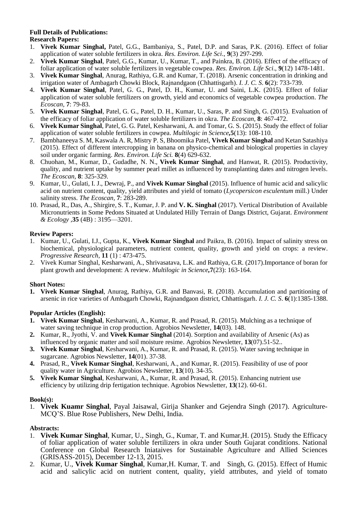# **Full Details of Publications:**

# **Research Papers:**

- 1. **Vivek Kumar Singhal,** Patel, G.G., Bambaniya, S., Patel, D.P. and Saras, P.K. (2016). Effect of foliar application of water soluble fertilizers in okra. *Res. Environ. Life Sci*., **9**(3) 297-299.
- 2. **Vivek Kumar Singhal**, Patel, G.G., Kumar, U., Kumar, T., and Painkra, B. (2016). Effect of the efficacy of foliar application of water soluble fertilizers in vegetable cowpea. *Res. Environ. Life Sci*., **9**(12) 1478-1481.
- 3. **Vivek Kumar Singhal**, Anurag, Rathiya, G.R. and Kumar, T. (2018). Arsenic concentration in drinking and irrigation water of Ambagarh Chowki Block, Rajnandgaon (Chhattisgarh). *I. J. C. S*. **6**(2): 733-739.
- 4. **Vivek Kumar Singhal**, Patel, G. G., Patel, D. H., Kumar, U. and Saini, L.K. (2015). Effect of foliar application of water soluble fertilizers on growth, yield and economics of vegetable cowpea production. *The Ecoscan,* **7**: 79-83.
- 5. **Vivek Kumar Singhal**, Patel, G. G., Patel, D. H., Kumar, U., Saras, P. and Singh, G. (2015). Evaluation of the efficacy of foliar application of water soluble fertilizers in okra. *The Ecoscan,* **8**: 467-472.
- 6. **Vivek Kumar Singhal**, Patel, G. G. Patel, Kesharwani, A. and Tomar, G. S. (2015). Study the effect of foliar application of water soluble fertilizers in cowpea. *Multilogic in Science,***5**(13): 108-110.
- 7. Bambhaneeya S. M, Kaswala A. R, Mistry P. S, Bhoomika Patel, **Vivek Kumar Singhal** and Ketan Satashiya (2015). Effect of different intercropping in banana on physico-chemical and biological properties in clayey soil under organic farming. *Res. Environ. Life Sci.* **8**(4) 629-632.
- 8. Chuohan, M., Kumar, D., Gudadhe, N. N., **Vivek Kumar Singhal**, and Hanwat, R. (2015). Productivity, quality, and nutrient uptake by summer pearl millet as influenced by transplanting dates and nitrogen levels. *The Ecoscan,* **8**: 325-329.
- 9. Kumar, U., Gulati, I. J., Dewraj, P., and **Vivek Kumar Singhal** (2015). Influence of humic acid and salicylic acid on nutrient content, quality, yield attributes and yield of tomato (*Lycopersicon esculentum* mill.) Under salinity stress. *The Ecoscan,* **7**: 283-289.
- 10. Prasad, R., Das, A., Shirgire, S. T., Kumar, J. P. and **V. K. Singhal** (2017). Vertical Distribution of Available Micronutrients in Some Pedons Situated at Undulated Hilly Terrain of Dangs District, Gujarat. *Environment & Ecology* ,**35** (4B) : 3195—3201.

#### **Review Papers:**

- 1. Kumar, U., Gulati, I.J., Gupta, K., **Vivek Kumar Singhal** and Paikra, B. (2016). Impact of salinity stress on biochemical, physiological parameters, nutrient content, quality, growth and yield on crops: a review. *Progressive Research*, **11** (1) : 473-475.
- 2. Vivek Kumar Singhal, Kesharwani, A., Shrivasatava, L.K. and Rathiya, G.R. (2017).Importance of boran for plant growth and development: A review. *Multilogic in Science,***7**(23): 163-164.

# **Short Notes:**

**1. Vivek Kumar Singhal**, Anurag, Rathiya, G.R. and Banvasi, R. (2018). Accumulation and partitioning of arsenic in rice varieties of Ambagarh Chowki, Rajnandgaon district, Chhattisgarh. *I. J. C. S*. **6**(1):1385-1388.

# **Popular Articles (English):**

- **1. Vivek Kumar Singhal**, Kesharwani, A., Kumar, R. and Prasad, R. (2015). Mulching as a technique of water saving technique in crop production. Agrobios Newsletter, **14**(03). 148.
- **2.** Kumar, R., Jyothi, V. and **Vivek Kumar Singhal** (2014). Sorption and availability of Arsenic (As) as influenced by organic matter and soil moisture resime. Agrobios Newsletter, **13**(07).51-52..
- **3. Vivek Kumar Singhal**, Kesharwani, A., Kumar, R. and Prasad, R. (2015). Water saving technique in sugarcane. Agrobios Newsletter, **14**(01). 37-38.
- **4.** Prasad, R., **Vivek Kumar Singhal**, Kesharwani, A., and Kumar, R. (2015). Feasibility of use of poor quality water in Agriculture. Agrobios Newsletter, **13**(10). 34-35.
- **5. Vivek Kumar Singhal**, Kesharwani, A., Kumar, R. and Prasad, R. (2015). Enhancing nutrient use efficiency by utilizing drip fertigation technique. Agrobios Newsletter, **13**(12). 60-61.

#### **Book(s):**

1. **Vivek Kuamr Singhal**, Payal Jaisawal, Girija Shanker and Gejendra Singh (2017). Agriculture-MCQ'S. Blue Rose Publishers, New Delhi, India.

# **Abstracts:**

- 1. **Vivek Kumar Singhal**, Kumar, U., Singh, G., Kumar, T. and Kumar,H. (2015). Study the Efficacy of foliar application of water soluble fertilizers in okra under South Gujarat conditions. National Conference on Global Research Iniataives for Sustainable Agriculture and Allied Sciences (GRISASS-2015), December 12-13, 2015.
- 2. Kumar, U., **Vivek Kumar Singhal**, Kumar,H. Kumar, T. and Singh, G. (2015). Effect of Humic acid and salicylic acid on nutrient content, quality, yield attributes, and yield of tomato